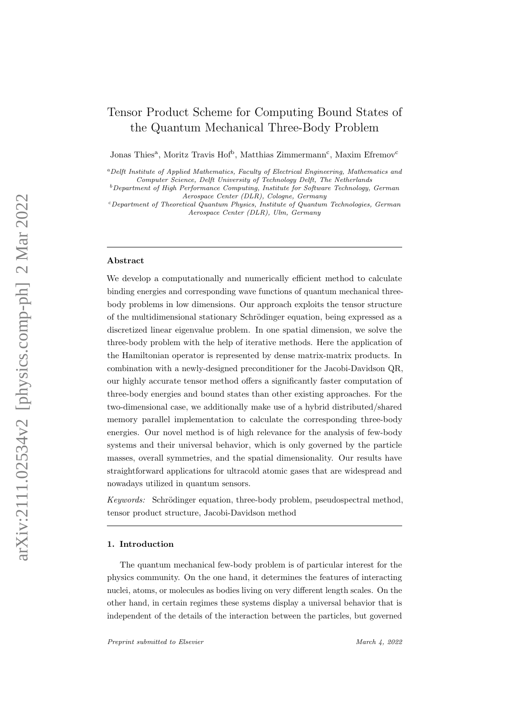# Tensor Product Scheme for Computing Bound States of the Quantum Mechanical Three-Body Problem

Jonas Thies<sup>a</sup>, Moritz Travis Hof<sup>b</sup>, Matthias Zimmermann<sup>c</sup>, Maxim Efremov<sup>c</sup>

<sup>a</sup>Delft Institute of Applied Mathematics, Faculty of Electrical Engineering, Mathematics and Computer Science, Delft University of Technology Delft, The Netherlands

 $c$ Department of Theoretical Quantum Physics, Institute of Quantum Technologies, German Aerospace Center (DLR), Ulm, Germany

#### Abstract

We develop a computationally and numerically efficient method to calculate binding energies and corresponding wave functions of quantum mechanical threebody problems in low dimensions. Our approach exploits the tensor structure of the multidimensional stationary Schrödinger equation, being expressed as a discretized linear eigenvalue problem. In one spatial dimension, we solve the three-body problem with the help of iterative methods. Here the application of the Hamiltonian operator is represented by dense matrix-matrix products. In combination with a newly-designed preconditioner for the Jacobi-Davidson QR, our highly accurate tensor method offers a significantly faster computation of three-body energies and bound states than other existing approaches. For the two-dimensional case, we additionally make use of a hybrid distributed/shared memory parallel implementation to calculate the corresponding three-body energies. Our novel method is of high relevance for the analysis of few-body systems and their universal behavior, which is only governed by the particle masses, overall symmetries, and the spatial dimensionality. Our results have straightforward applications for ultracold atomic gases that are widespread and nowadays utilized in quantum sensors.

Keywords: Schrödinger equation, three-body problem, pseudospectral method, tensor product structure, Jacobi-Davidson method

### 1. Introduction

The quantum mechanical few-body problem is of particular interest for the physics community. On the one hand, it determines the features of interacting nuclei, atoms, or molecules as bodies living on very different length scales. On the other hand, in certain regimes these systems display a universal behavior that is independent of the details of the interaction between the particles, but governed

 $b$ Department of High Performance Computing, Institute for Software Technology, German Aerospace Center (DLR), Cologne, Germany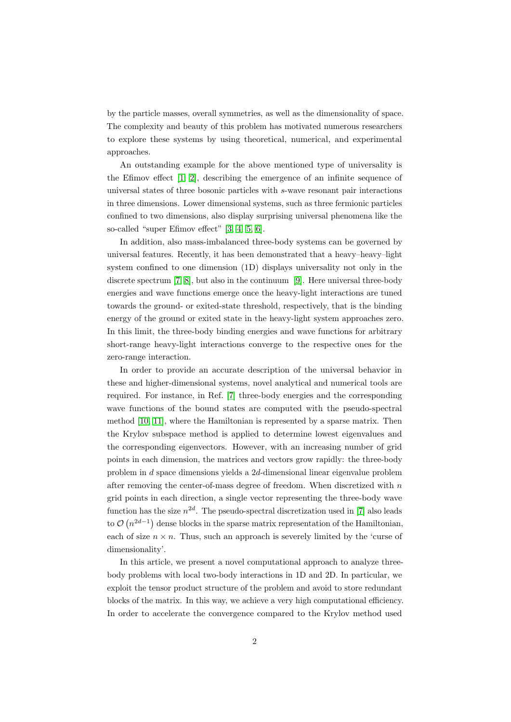by the particle masses, overall symmetries, as well as the dimensionality of space. The complexity and beauty of this problem has motivated numerous researchers to explore these systems by using theoretical, numerical, and experimental approaches.

An outstanding example for the above mentioned type of universality is the Efimov effect [\[1,](#page-16-0) [2\]](#page-16-1), describing the emergence of an infinite sequence of universal states of three bosonic particles with s-wave resonant pair interactions in three dimensions. Lower dimensional systems, such as three fermionic particles confined to two dimensions, also display surprising universal phenomena like the so-called "super Efimov effect" [\[3,](#page-16-2) [4,](#page-16-3) [5,](#page-16-4) [6\]](#page-16-5).

In addition, also mass-imbalanced three-body systems can be governed by universal features. Recently, it has been demonstrated that a heavy–heavy–light system confined to one dimension (1D) displays universality not only in the discrete spectrum [\[7,](#page-17-0) [8\]](#page-17-1), but also in the continuum [\[9\]](#page-17-2). Here universal three-body energies and wave functions emerge once the heavy-light interactions are tuned towards the ground- or exited-state threshold, respectively, that is the binding energy of the ground or exited state in the heavy-light system approaches zero. In this limit, the three-body binding energies and wave functions for arbitrary short-range heavy-light interactions converge to the respective ones for the zero-range interaction.

In order to provide an accurate description of the universal behavior in these and higher-dimensional systems, novel analytical and numerical tools are required. For instance, in Ref. [\[7\]](#page-17-0) three-body energies and the corresponding wave functions of the bound states are computed with the pseudo-spectral method [\[10,](#page-17-3) [11\]](#page-17-4), where the Hamiltonian is represented by a sparse matrix. Then the Krylov subspace method is applied to determine lowest eigenvalues and the corresponding eigenvectors. However, with an increasing number of grid points in each dimension, the matrices and vectors grow rapidly: the three-body problem in d space dimensions yields a 2d-dimensional linear eigenvalue problem after removing the center-of-mass degree of freedom. When discretized with  $n$ grid points in each direction, a single vector representing the three-body wave function has the size  $n^{2d}$ . The pseudo-spectral discretization used in [\[7\]](#page-17-0) also leads to  $\mathcal{O}(n^{2d-1})$  dense blocks in the sparse matrix representation of the Hamiltonian, each of size  $n \times n$ . Thus, such an approach is severely limited by the 'curse of dimensionality'.

In this article, we present a novel computational approach to analyze threebody problems with local two-body interactions in 1D and 2D. In particular, we exploit the tensor product structure of the problem and avoid to store redundant blocks of the matrix. In this way, we achieve a very high computational efficiency. In order to accelerate the convergence compared to the Krylov method used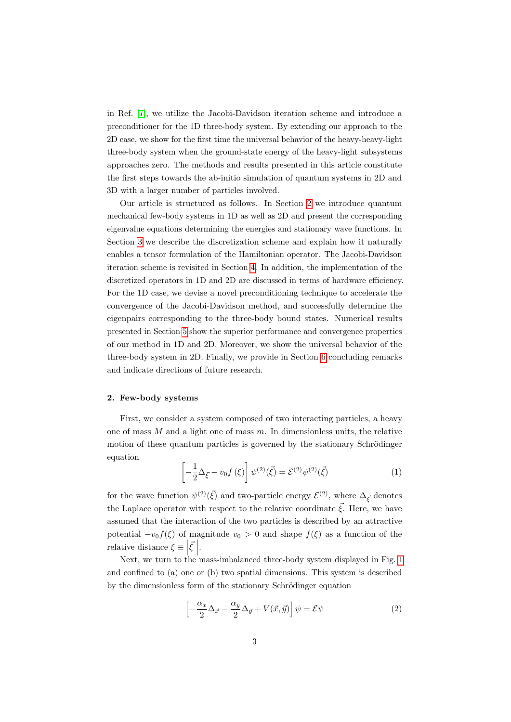in Ref. [\[7\]](#page-17-0), we utilize the Jacobi-Davidson iteration scheme and introduce a preconditioner for the 1D three-body system. By extending our approach to the 2D case, we show for the first time the universal behavior of the heavy-heavy-light three-body system when the ground-state energy of the heavy-light subsystems approaches zero. The methods and results presented in this article constitute the first steps towards the ab-initio simulation of quantum systems in 2D and 3D with a larger number of particles involved.

Our article is structured as follows. In Section [2](#page-2-0) we introduce quantum mechanical few-body systems in 1D as well as 2D and present the corresponding eigenvalue equations determining the energies and stationary wave functions. In Section [3](#page-4-0) we describe the discretization scheme and explain how it naturally enables a tensor formulation of the Hamiltonian operator. The Jacobi-Davidson iteration scheme is revisited in Section [4.](#page-7-0) In addition, the implementation of the discretized operators in 1D and 2D are discussed in terms of hardware efficiency. For the 1D case, we devise a novel preconditioning technique to accelerate the convergence of the Jacobi-Davidson method, and successfully determine the eigenpairs corresponding to the three-body bound states. Numerical results presented in Section [5](#page-9-0) show the superior performance and convergence properties of our method in 1D and 2D. Moreover, we show the universal behavior of the three-body system in 2D. Finally, we provide in Section [6](#page-15-0) concluding remarks and indicate directions of future research.

### <span id="page-2-0"></span>2. Few-body systems

First, we consider a system composed of two interacting particles, a heavy one of mass  $M$  and a light one of mass  $m$ . In dimensionless units, the relative motion of these quantum particles is governed by the stationary Schrödinger equation

<span id="page-2-2"></span>
$$
\left[ -\frac{1}{2}\Delta_{\vec{\xi}} - v_0 f(\xi) \right] \psi^{(2)}(\vec{\xi}) = \mathcal{E}^{(2)} \psi^{(2)}(\vec{\xi}) \tag{1}
$$

for the wave function  $\psi^{(2)}(\vec{\xi})$  and two-particle energy  $\mathcal{E}^{(2)}$ , where  $\Delta_{\vec{\xi}}$  denotes the Laplace operator with respect to the relative coordinate  $\vec{\xi}$ . Here, we have assumed that the interaction of the two particles is described by an attractive potential  $-v_0 f(\xi)$  of magnitude  $v_0 > 0$  and shape  $f(\xi)$  as a function of the relative distance  $\xi \equiv \left| \vec{\xi} \right|$ .

Next, we turn to the mass-imbalanced three-body system displayed in Fig. [1](#page-3-0) and confined to (a) one or (b) two spatial dimensions. This system is described by the dimensionless form of the stationary Schrödinger equation

<span id="page-2-1"></span>
$$
\left[ -\frac{\alpha_x}{2} \Delta_{\vec{x}} - \frac{\alpha_y}{2} \Delta_{\vec{y}} + V(\vec{x}, \vec{y}) \right] \psi = \mathcal{E} \psi \tag{2}
$$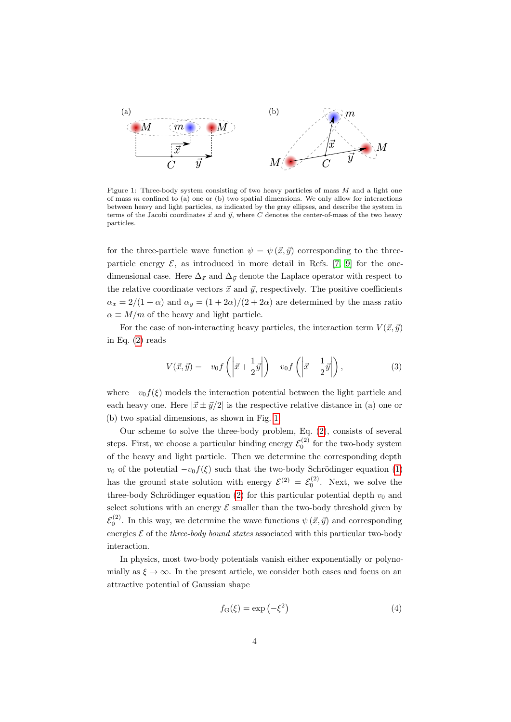<span id="page-3-0"></span>

Figure 1: Three-body system consisting of two heavy particles of mass  $M$  and a light one of mass  $m$  confined to (a) one or (b) two spatial dimensions. We only allow for interactions between heavy and light particles, as indicated by the gray ellipses, and describe the system in terms of the Jacobi coordinates  $\vec{x}$  and  $\vec{y}$ , where C denotes the center-of-mass of the two heavy particles.

for the three-particle wave function  $\psi = \psi(\vec{x}, \vec{y})$  corresponding to the threeparticle energy  $\mathcal{E}$ , as introduced in more detail in Refs. [\[7,](#page-17-0) [9\]](#page-17-2) for the onedimensional case. Here  $\Delta_{\vec{x}}$  and  $\Delta_{\vec{y}}$  denote the Laplace operator with respect to the relative coordinate vectors  $\vec{x}$  and  $\vec{y}$ , respectively. The positive coefficients  $\alpha_x = 2/(1+\alpha)$  and  $\alpha_y = (1+2\alpha)/(2+2\alpha)$  are determined by the mass ratio  $\alpha \equiv M/m$  of the heavy and light particle.

For the case of non-interacting heavy particles, the interaction term  $V(\vec{x}, \vec{y})$ in Eq. [\(2\)](#page-2-1) reads

<span id="page-3-1"></span>
$$
V(\vec{x}, \vec{y}) = -v_0 f\left(\left|\vec{x} + \frac{1}{2}\vec{y}\right|\right) - v_0 f\left(\left|\vec{x} - \frac{1}{2}\vec{y}\right|\right),\tag{3}
$$

where  $-v_0f(\xi)$  models the interaction potential between the light particle and each heavy one. Here  $|\vec{x} \pm \vec{y}/2|$  is the respective relative distance in (a) one or (b) two spatial dimensions, as shown in Fig. [1.](#page-3-0)

Our scheme to solve the three-body problem, Eq. [\(2\)](#page-2-1), consists of several steps. First, we choose a particular binding energy  $\mathcal{E}_0^{(2)}$  for the two-body system of the heavy and light particle. Then we determine the corresponding depth  $v_0$  of the potential  $-v_0f(\xi)$  such that the two-body Schrödinger equation [\(1\)](#page-2-2) has the ground state solution with energy  $\mathcal{E}^{(2)} = \mathcal{E}_0^{(2)}$ . Next, we solve the three-body Schrödinger equation [\(2\)](#page-2-1) for this particular potential depth  $v_0$  and select solutions with an energy  $\mathcal E$  smaller than the two-body threshold given by  $\mathcal{E}_0^{(2)}$ . In this way, we determine the wave functions  $\psi(\vec{x}, \vec{y})$  and corresponding energies  $\mathcal E$  of the *three-body bound states* associated with this particular two-body interaction.

In physics, most two-body potentials vanish either exponentially or polynomially as  $\xi \to \infty$ . In the present article, we consider both cases and focus on an attractive potential of Gaussian shape

<span id="page-3-2"></span>
$$
f_{\mathcal{G}}(\xi) = \exp\left(-\xi^2\right) \tag{4}
$$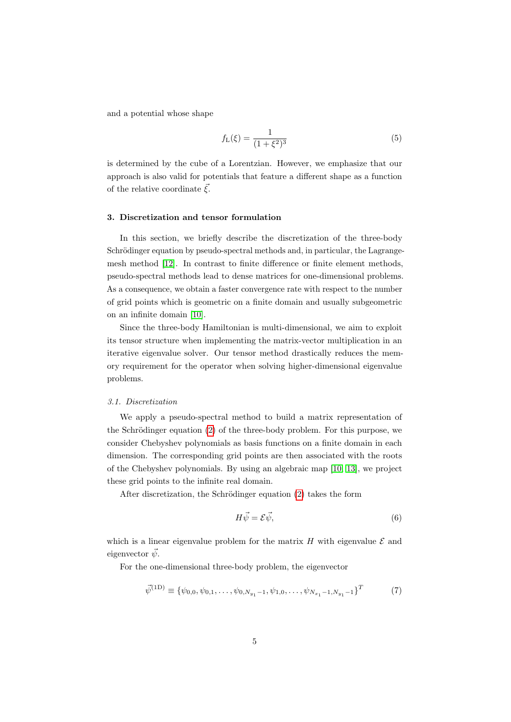and a potential whose shape

<span id="page-4-2"></span>
$$
f_{\rm L}(\xi) = \frac{1}{(1 + \xi^2)^3} \tag{5}
$$

is determined by the cube of a Lorentzian. However, we emphasize that our approach is also valid for potentials that feature a different shape as a function of the relative coordinate  $\bar{\xi}$ .

# <span id="page-4-0"></span>3. Discretization and tensor formulation

In this section, we briefly describe the discretization of the three-body Schrödinger equation by pseudo-spectral methods and, in particular, the Lagrangemesh method [\[12\]](#page-17-5). In contrast to finite difference or finite element methods, pseudo-spectral methods lead to dense matrices for one-dimensional problems. As a consequence, we obtain a faster convergence rate with respect to the number of grid points which is geometric on a finite domain and usually subgeometric on an infinite domain [\[10\]](#page-17-3).

Since the three-body Hamiltonian is multi-dimensional, we aim to exploit its tensor structure when implementing the matrix-vector multiplication in an iterative eigenvalue solver. Our tensor method drastically reduces the memory requirement for the operator when solving higher-dimensional eigenvalue problems.

# 3.1. Discretization

We apply a pseudo-spectral method to build a matrix representation of the Schrödinger equation  $(2)$  of the three-body problem. For this purpose, we consider Chebyshev polynomials as basis functions on a finite domain in each dimension. The corresponding grid points are then associated with the roots of the Chebyshev polynomials. By using an algebraic map [\[10,](#page-17-3) [13\]](#page-17-6), we project these grid points to the infinite real domain.

After discretization, the Schrödinger equation  $(2)$  takes the form

<span id="page-4-1"></span>
$$
H\vec{\psi} = \mathcal{E}\vec{\psi},\tag{6}
$$

which is a linear eigenvalue problem for the matrix  $H$  with eigenvalue  $\mathcal E$  and eigenvector  $\vec{\psi}$ .

For the one-dimensional three-body problem, the eigenvector

$$
\vec{\psi}^{(1D)} \equiv {\psi_{0,0}, \psi_{0,1}, \dots, \psi_{0,N_{y_1}-1}, \psi_{1,0}, \dots, \psi_{N_{x_1}-1,N_{y_1}-1}}^T \tag{7}
$$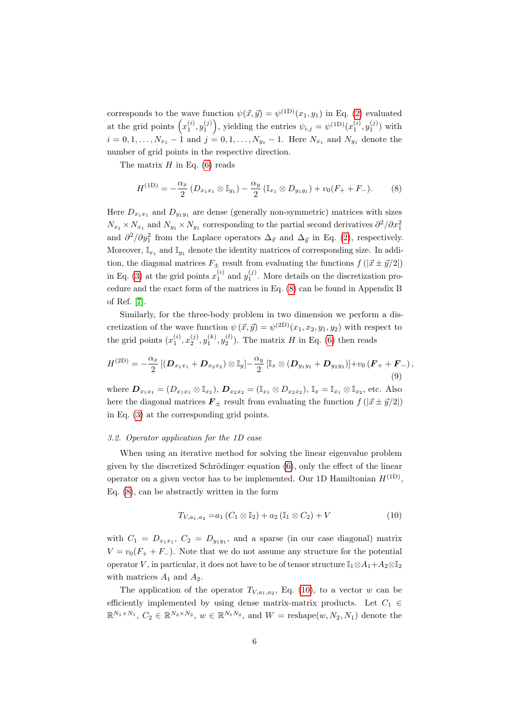corresponds to the wave function  $\psi(\vec{x}, \vec{y}) = \psi^{(1D)}(x_1, y_1)$  in Eq. [\(2\)](#page-2-1) evaluated at the grid points  $(x_1^{(i)}, y_1^{(j)})$ , yielding the entries  $\psi_{i,j} = \psi^{(1D)}(x_1^{(i)}, y_1^{(j)})$  with  $i = 0, 1, \ldots, N_{x_1} - 1$  and  $j = 0, 1, \ldots, N_{y_1} - 1$ . Here  $N_{x_1}$  and  $N_{y_1}$  denote the number of grid points in the respective direction.

The matrix  $H$  in Eq. [\(6\)](#page-4-1) reads

<span id="page-5-0"></span>
$$
H^{(1D)} = -\frac{\alpha_x}{2} \left( D_{x_1x_1} \otimes \mathbb{I}_{y_1} \right) - \frac{\alpha_y}{2} \left( \mathbb{I}_{x_1} \otimes D_{y_1y_1} \right) + v_0(F_+ + F_-). \tag{8}
$$

Here  $D_{x_1x_1}$  and  $D_{y_1y_1}$  are dense (generally non-symmetric) matrices with sizes  $N_{x_1} \times N_{x_1}$  and  $N_{y_1} \times N_{y_1}$  corresponding to the partial second derivatives  $\partial^2/\partial x_1^2$ and  $\partial^2/\partial y_1^2$  from the Laplace operators  $\Delta_{\vec{x}}$  and  $\Delta_{\vec{y}}$  in Eq. [\(2\)](#page-2-1), respectively. Moreover,  $\mathbb{I}_{x_1}$  and  $\mathbb{I}_{y_1}$  denote the identity matrices of corresponding size. In addition, the diagonal matrices  $F_{\pm}$  result from evaluating the functions  $f(|\vec{x} \pm \vec{y}/2|)$ in Eq. [\(3\)](#page-3-1) at the grid points  $x_1^{(i)}$  and  $y_1^{(j)}$ . More details on the discretization procedure and the exact form of the matrices in Eq. [\(8\)](#page-5-0) can be found in Appendix B of Ref. [\[7\]](#page-17-0).

Similarly, for the three-body problem in two dimension we perform a discretization of the wave function  $\psi(\vec{x}, \vec{y}) = \psi^{(2D)}(x_1, x_2, y_1, y_2)$  with respect to the grid points  $(x_1^{(i)}, x_2^{(j)}, y_1^{(k)}, y_2^{(l)})$ . The matrix H in Eq. [\(6\)](#page-4-1) then reads

$$
H^{(\text{2D})} = -\frac{\alpha_x}{2} \left[ (\bm{D}_{x_1x_1} + \bm{D}_{x_2x_2}) \otimes \mathbb{I}_y \right] - \frac{\alpha_y}{2} \left[ \mathbb{I}_x \otimes (\bm{D}_{y_1y_1} + \bm{D}_{y_2y_2}) \right] + v_0 \left( \bm{F}_+ + \bm{F}_- \right), \tag{9}
$$

where  $D_{x_1x_1} = (D_{x_1x_1} \otimes \mathbb{I}_{x_2}), D_{x_2x_2} = (\mathbb{I}_{x_1} \otimes D_{x_2x_2}), \mathbb{I}_x = \mathbb{I}_{x_1} \otimes \mathbb{I}_{x_2},$  etc. Also here the diagonal matrices  $\mathbf{F}_{\pm}$  result from evaluating the function  $f(|\vec{x} \pm \vec{y}/2|)$ in Eq. [\(3\)](#page-3-1) at the corresponding grid points.

#### <span id="page-5-3"></span>3.2. Operator application for the 1D case

When using an iterative method for solving the linear eigenvalue problem given by the discretized Schrödinger equation  $(6)$ , only the effect of the linear operator on a given vector has to be implemented. Our 1D Hamiltonian  $H^{(1D)}$ , Eq. [\(8\)](#page-5-0), can be abstractly written in the form

<span id="page-5-2"></span><span id="page-5-1"></span>
$$
T_{V,a_1,a_2} = a_1 (C_1 \otimes \mathbb{I}_2) + a_2 (\mathbb{I}_1 \otimes C_2) + V \tag{10}
$$

with  $C_1 = D_{x_1x_1}$ ,  $C_2 = D_{y_1y_1}$ , and a sparse (in our case diagonal) matrix  $V = v_0(F_+ + F_-)$ . Note that we do not assume any structure for the potential operator V, in particular, it does not have to be of tensor structure  $\mathbb{I}_1 \otimes A_1 + A_2 \otimes \mathbb{I}_2$ with matrices  $A_1$  and  $A_2$ .

The application of the operator  $T_{V,a_1,a_2}$ , Eq. [\(10\)](#page-5-1), to a vector w can be efficiently implemented by using dense matrix-matrix products. Let  $C_1 \in$  $\mathbb{R}^{N_1 \times N_1}$ ,  $C_2 \in \mathbb{R}^{N_2 \times N_2}$ ,  $w \in \mathbb{R}^{N_1 N_2}$ , and  $W = \text{reshape}(w, N_2, N_1)$  denote the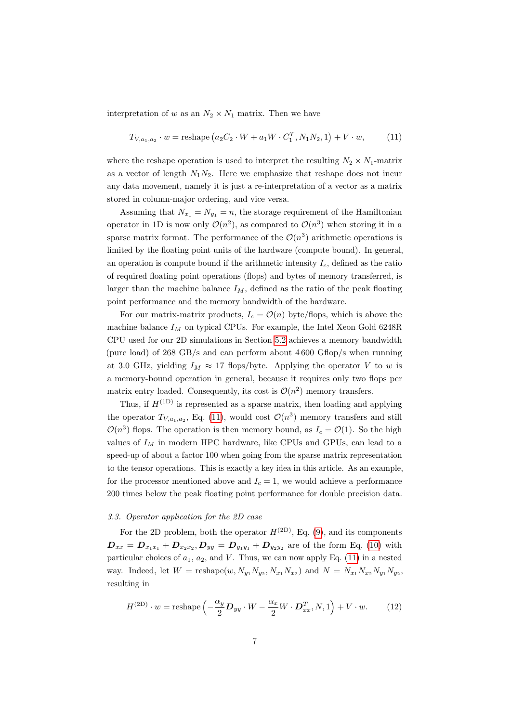interpretation of w as an  $N_2 \times N_1$  matrix. Then we have

<span id="page-6-0"></span>
$$
T_{V,a_1,a_2} \cdot w = \text{reshape}\left(a_2 C_2 \cdot W + a_1 W \cdot C_1^T, N_1 N_2, 1\right) + V \cdot w,\tag{11}
$$

where the reshape operation is used to interpret the resulting  $N_2 \times N_1$ -matrix as a vector of length  $N_1N_2$ . Here we emphasize that reshape does not incur any data movement, namely it is just a re-interpretation of a vector as a matrix stored in column-major ordering, and vice versa.

Assuming that  $N_{x_1} = N_{y_1} = n$ , the storage requirement of the Hamiltonian operator in 1D is now only  $\mathcal{O}(n^2)$ , as compared to  $\mathcal{O}(n^3)$  when storing it in a sparse matrix format. The performance of the  $\mathcal{O}(n^3)$  arithmetic operations is limited by the floating point units of the hardware (compute bound). In general, an operation is compute bound if the arithmetic intensity  $I_c$ , defined as the ratio of required floating point operations (flops) and bytes of memory transferred, is larger than the machine balance  $I_M$ , defined as the ratio of the peak floating point performance and the memory bandwidth of the hardware.

For our matrix-matrix products,  $I_c = \mathcal{O}(n)$  byte/flops, which is above the machine balance  $I_M$  on typical CPUs. For example, the Intel Xeon Gold 6248R CPU used for our 2D simulations in Section [5.2](#page-11-0) achieves a memory bandwidth (pure load) of  $268 \text{ GB/s}$  and can perform about  $4600 \text{ Gflop/s}$  when running at 3.0 GHz, yielding  $I_M \approx 17$  flops/byte. Applying the operator V to w is a memory-bound operation in general, because it requires only two flops per matrix entry loaded. Consequently, its cost is  $\mathcal{O}(n^2)$  memory transfers.

Thus, if  $H^{(1D)}$  is represented as a sparse matrix, then loading and applying the operator  $T_{V,a_1,a_2}$ , Eq. [\(11\)](#page-6-0), would cost  $\mathcal{O}(n^3)$  memory transfers and still  $\mathcal{O}(n^3)$  flops. The operation is then memory bound, as  $I_c = \mathcal{O}(1)$ . So the high values of  $I_M$  in modern HPC hardware, like CPUs and GPUs, can lead to a speed-up of about a factor 100 when going from the sparse matrix representation to the tensor operations. This is exactly a key idea in this article. As an example, for the processor mentioned above and  $I_c = 1$ , we would achieve a performance 200 times below the peak floating point performance for double precision data.

#### <span id="page-6-2"></span>3.3. Operator application for the 2D case

For the 2D problem, both the operator  $H^{(2D)}$ , Eq. [\(9\)](#page-5-2), and its components  $D_{xx} = D_{x_1x_1} + D_{x_2x_2}, D_{yy} = D_{y_1y_1} + D_{y_2y_2}$  are of the form Eq. [\(10\)](#page-5-1) with particular choices of  $a_1, a_2$ , and V. Thus, we can now apply Eq. [\(11\)](#page-6-0) in a nested way. Indeed, let  $W = \text{reshape}(w, N_{y_1} N_{y_2}, N_{x_1} N_{x_2})$  and  $N = N_{x_1} N_{x_2} N_{y_1} N_{y_2}$ , resulting in

<span id="page-6-1"></span>
$$
H^{(2D)} \cdot w = \text{reshape}\left(-\frac{\alpha_y}{2}\mathbf{D}_{yy} \cdot W - \frac{\alpha_x}{2}W \cdot \mathbf{D}_{xx}^T, N, 1\right) + V \cdot w. \tag{12}
$$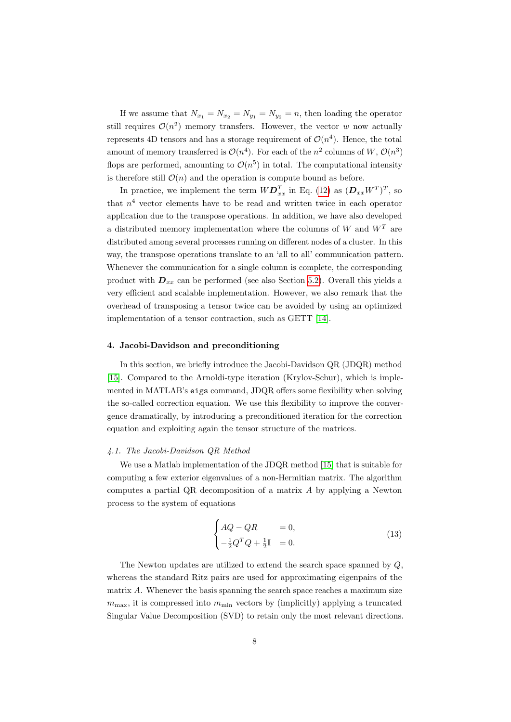If we assume that  $N_{x_1} = N_{x_2} = N_{y_1} = N_{y_2} = n$ , then loading the operator still requires  $\mathcal{O}(n^2)$  memory transfers. However, the vector w now actually represents 4D tensors and has a storage requirement of  $\mathcal{O}(n^4)$ . Hence, the total amount of memory transferred is  $\mathcal{O}(n^4)$ . For each of the  $n^2$  columns of  $W, \mathcal{O}(n^3)$ flops are performed, amounting to  $\mathcal{O}(n^5)$  in total. The computational intensity is therefore still  $\mathcal{O}(n)$  and the operation is compute bound as before.

In practice, we implement the term  $W{\bf D}_{xx}^T$  in Eq. [\(12\)](#page-6-1) as  $({\bf D}_{xx}W^T)^T$ , so that  $n<sup>4</sup>$  vector elements have to be read and written twice in each operator application due to the transpose operations. In addition, we have also developed a distributed memory implementation where the columns of W and  $W<sup>T</sup>$  are distributed among several processes running on different nodes of a cluster. In this way, the transpose operations translate to an 'all to all' communication pattern. Whenever the communication for a single column is complete, the corresponding product with  $D_{xx}$  can be performed (see also Section [5.2\)](#page-11-0). Overall this yields a very efficient and scalable implementation. However, we also remark that the overhead of transposing a tensor twice can be avoided by using an optimized implementation of a tensor contraction, such as GETT [\[14\]](#page-17-7).

## <span id="page-7-0"></span>4. Jacobi-Davidson and preconditioning

In this section, we briefly introduce the Jacobi-Davidson QR (JDQR) method [\[15\]](#page-17-8). Compared to the Arnoldi-type iteration (Krylov-Schur), which is implemented in MATLAB's eigs command, JDQR offers some flexibility when solving the so-called correction equation. We use this flexibility to improve the convergence dramatically, by introducing a preconditioned iteration for the correction equation and exploiting again the tensor structure of the matrices.

# 4.1. The Jacobi-Davidson QR Method

We use a Matlab implementation of the JDQR method [\[15\]](#page-17-8) that is suitable for computing a few exterior eigenvalues of a non-Hermitian matrix. The algorithm computes a partial QR decomposition of a matrix A by applying a Newton process to the system of equations

$$
\begin{cases}\nAQ - QR & = 0, \\
-\frac{1}{2}Q^TQ + \frac{1}{2}\mathbb{I} & = 0.\n\end{cases}
$$
\n(13)

The Newton updates are utilized to extend the search space spanned by Q, whereas the standard Ritz pairs are used for approximating eigenpairs of the matrix A. Whenever the basis spanning the search space reaches a maximum size  $m_{\text{max}}$ , it is compressed into  $m_{\text{min}}$  vectors by (implicitly) applying a truncated Singular Value Decomposition (SVD) to retain only the most relevant directions.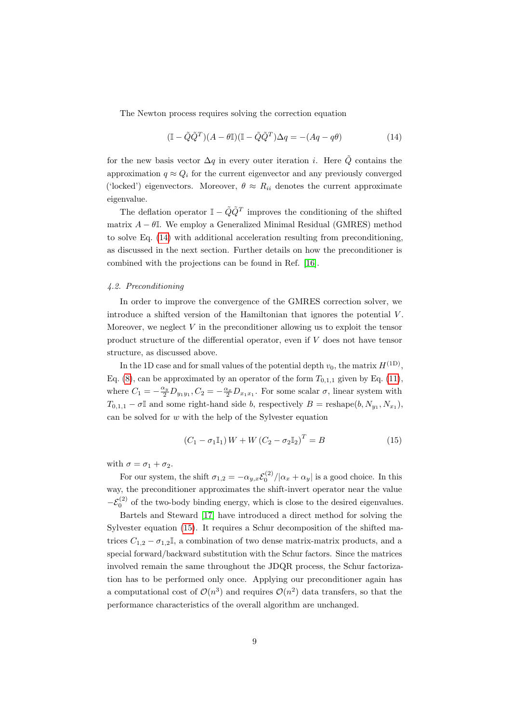The Newton process requires solving the correction equation

<span id="page-8-0"></span>
$$
(\mathbb{I} - \tilde{Q}\tilde{Q}^T)(A - \theta\mathbb{I})(\mathbb{I} - \tilde{Q}\tilde{Q}^T)\Delta q = -(Aq - q\theta)
$$
\n(14)

for the new basis vector  $\Delta q$  in every outer iteration *i*. Here  $\tilde{Q}$  contains the approximation  $q \approx Q_i$  for the current eigenvector and any previously converged ('locked') eigenvectors. Moreover,  $\theta \approx R_{ii}$  denotes the current approximate eigenvalue.

The deflation operator  $\mathbb{I} - \tilde{Q}\tilde{Q}^T$  improves the conditioning of the shifted matrix  $A - \theta$ I. We employ a Generalized Minimal Residual (GMRES) method to solve Eq. [\(14\)](#page-8-0) with additional acceleration resulting from preconditioning, as discussed in the next section. Further details on how the preconditioner is combined with the projections can be found in Ref. [\[16\]](#page-17-9).

# <span id="page-8-2"></span>4.2. Preconditioning

In order to improve the convergence of the GMRES correction solver, we introduce a shifted version of the Hamiltonian that ignores the potential  $V$ . Moreover, we neglect  $V$  in the preconditioner allowing us to exploit the tensor product structure of the differential operator, even if V does not have tensor structure, as discussed above.

In the 1D case and for small values of the potential depth  $v_0$ , the matrix  $H^{(1D)}$ , Eq. [\(8\)](#page-5-0), can be approximated by an operator of the form  $T_{0,1,1}$  given by Eq. [\(11\)](#page-6-0), where  $C_1 = -\frac{\alpha_y}{2} D_{y_1 y_1}, C_2 = -\frac{\alpha_x}{2} D_{x_1 x_1}$ . For some scalar  $\sigma$ , linear system with  $T_{0,1,1} - \sigma \mathbb{I}$  and some right-hand side b, respectively  $B = \text{reshape}(b, N_{y_1}, N_{x_1}),$ can be solved for  $w$  with the help of the Sylvester equation

<span id="page-8-1"></span>
$$
(C_1 - \sigma_1 \mathbb{I}_1) W + W (C_2 - \sigma_2 \mathbb{I}_2)^T = B \tag{15}
$$

with  $\sigma = \sigma_1 + \sigma_2$ .

For our system, the shift  $\sigma_{1,2} = -\alpha_{y,x} \mathcal{E}_0^{(2)}/|\alpha_x + \alpha_y|$  is a good choice. In this way, the preconditioner approximates the shift-invert operator near the value  $-\mathcal{E}_0^{(2)}$  of the two-body binding energy, which is close to the desired eigenvalues.

Bartels and Steward [\[17\]](#page-17-10) have introduced a direct method for solving the Sylvester equation [\(15\)](#page-8-1). It requires a Schur decomposition of the shifted matrices  $C_{1,2} - \sigma_{1,2} \mathbb{I}$ , a combination of two dense matrix-matrix products, and a special forward/backward substitution with the Schur factors. Since the matrices involved remain the same throughout the JDQR process, the Schur factorization has to be performed only once. Applying our preconditioner again has a computational cost of  $\mathcal{O}(n^3)$  and requires  $\mathcal{O}(n^2)$  data transfers, so that the performance characteristics of the overall algorithm are unchanged.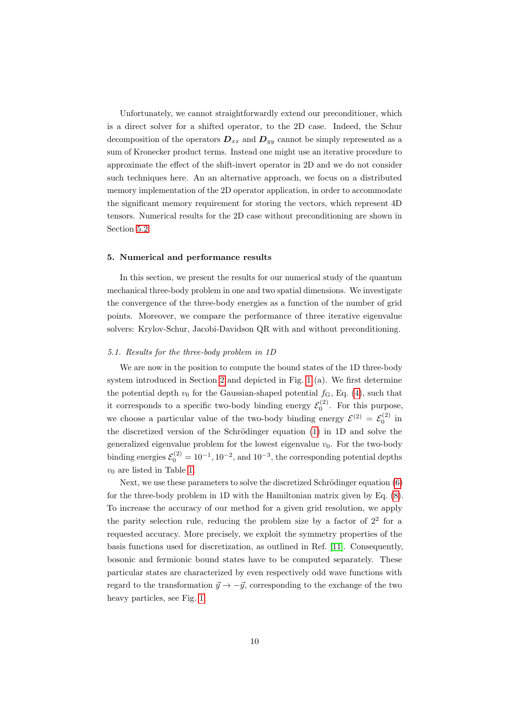Unfortunately, we cannot straightforwardly extend our preconditioner, which is a direct solver for a shifted operator, to the 2D case. Indeed, the Schur decomposition of the operators  $D_{xx}$  and  $D_{yy}$  cannot be simply represented as a sum of Kronecker product terms. Instead one might use an iterative procedure to approximate the effect of the shift-invert operator in 2D and we do not consider such techniques here. An an alternative approach, we focus on a distributed memory implementation of the 2D operator application, in order to accommodate the significant memory requirement for storing the vectors, which represent 4D tensors. Numerical results for the 2D case without preconditioning are shown in Section [5.2.](#page-11-0)

#### <span id="page-9-0"></span>5. Numerical and performance results

In this section, we present the results for our numerical study of the quantum mechanical three-body problem in one and two spatial dimensions. We investigate the convergence of the three-body energies as a function of the number of grid points. Moreover, we compare the performance of three iterative eigenvalue solvers: Krylov-Schur, Jacobi-Davidson QR with and without preconditioning.

# <span id="page-9-1"></span>5.1. Results for the three-body problem in 1D

We are now in the position to compute the bound states of the 1D three-body system introduced in Section [2](#page-2-0) and depicted in Fig. [1](#page-3-0) (a). We first determine the potential depth  $v_0$  for the Gaussian-shaped potential  $f<sub>G</sub>$ , Eq. [\(4\)](#page-3-2), such that it corresponds to a specific two-body binding energy  $\mathcal{E}_0^{(2)}$ . For this purpose, we choose a particular value of the two-body binding energy  $\mathcal{E}^{(2)} = \mathcal{E}_0^{(2)}$  in the discretized version of the Schrödinger equation  $(1)$  in 1D and solve the generalized eigenvalue problem for the lowest eigenvalue  $v_0$ . For the two-body binding energies  $\mathcal{E}_0^{(2)} = 10^{-1}$ ,  $10^{-2}$ , and  $10^{-3}$ , the corresponding potential depths  $v_0$  are listed in Table [1.](#page-10-0)

Next, we use these parameters to solve the discretized Schrödinger equation  $(6)$ for the three-body problem in 1D with the Hamiltonian matrix given by Eq. [\(8\)](#page-5-0). To increase the accuracy of our method for a given grid resolution, we apply the parity selection rule, reducing the problem size by a factor of  $2<sup>2</sup>$  for a requested accuracy. More precisely, we exploit the symmetry properties of the basis functions used for discretization, as outlined in Ref. [\[11\]](#page-17-4). Consequently, bosonic and fermionic bound states have to be computed separately. These particular states are characterized by even respectively odd wave functions with regard to the transformation  $\vec{y} \rightarrow -\vec{y}$ , corresponding to the exchange of the two heavy particles, see Fig. [1.](#page-3-0)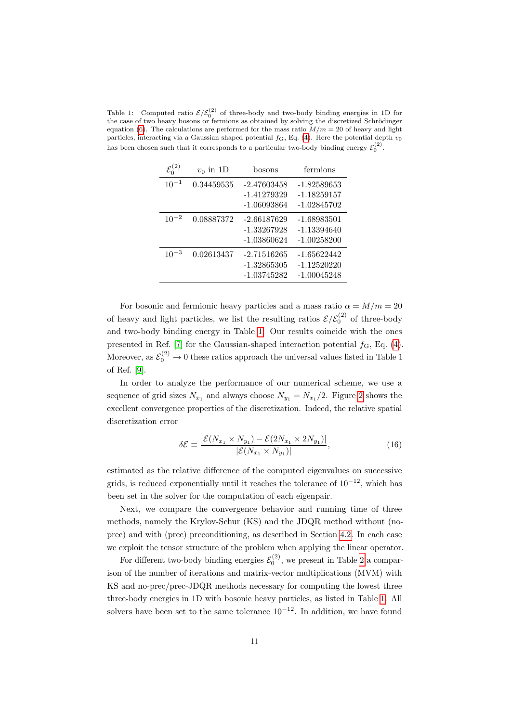<span id="page-10-0"></span>Table 1: Computed ratio  $\mathcal{E}/\mathcal{E}_0^{(2)}$  of three-body and two-body binding energies in 1D for the case of two heavy bosons or fermions as obtained by solving the discretized Schrödinger equation [\(6\)](#page-4-1). The calculations are performed for the mass ratio  $M/m = 20$  of heavy and light particles, interacting via a Gaussian shaped potential  $f_G$ , Eq. [\(4\)](#page-3-2). Here the potential depth  $v_0$ has been chosen such that it corresponds to a particular two-body binding energy  $\mathcal{E}_0^{(2)}$ .

| $\mathcal{E}^{(2)}_0$ | $v_0$ in 1D | bosons                                      | fermions                                        |
|-----------------------|-------------|---------------------------------------------|-------------------------------------------------|
| $10^{-1}$             | 0.34459535  | $-2.47603458$<br>-1.41279329<br>-1.06093864 | $-1.82589653$<br>$-1.18259157$<br>-1.02845702   |
| $10^{-2}$             | 0.08887372  | $-2.66187629$<br>-1.33267928<br>-1.03860624 | $-1.68983501$<br>$-1.13394640$<br>$-1.00258200$ |
| $10^{-3}$             | 0.02613437  | $-2.71516265$<br>-1.32865305<br>-1.03745282 | -1.65622442<br>$-1.12520220$<br>$-1.00045248$   |

For bosonic and fermionic heavy particles and a mass ratio  $\alpha = M/m = 20$ of heavy and light particles, we list the resulting ratios  $\mathcal{E}/\mathcal{E}_0^{(2)}$  of three-body and two-body binding energy in Table [1.](#page-10-0) Our results coincide with the ones presented in Ref. [\[7\]](#page-17-0) for the Gaussian-shaped interaction potential  $f_{\rm G}$ , Eq. [\(4\)](#page-3-2). Moreover, as  $\mathcal{E}_0^{(2)} \to 0$  these ratios approach the universal values listed in Table 1 of Ref. [\[9\]](#page-17-2).

In order to analyze the performance of our numerical scheme, we use a sequence of grid sizes  $N_{x_1}$  and always choose  $N_{y_1} = N_{x_1}/2$ . Figure [2](#page-11-1) shows the excellent convergence properties of the discretization. Indeed, the relative spatial discretization error

<span id="page-10-1"></span>
$$
\delta \mathcal{E} \equiv \frac{|\mathcal{E}(N_{x_1} \times N_{y_1}) - \mathcal{E}(2N_{x_1} \times 2N_{y_1})|}{|\mathcal{E}(N_{x_1} \times N_{y_1})|},\tag{16}
$$

estimated as the relative difference of the computed eigenvalues on successive grids, is reduced exponentially until it reaches the tolerance of  $10^{-12}$ , which has been set in the solver for the computation of each eigenpair.

Next, we compare the convergence behavior and running time of three methods, namely the Krylov-Schur (KS) and the JDQR method without (noprec) and with (prec) preconditioning, as described in Section [4.2.](#page-8-2) In each case we exploit the tensor structure of the problem when applying the linear operator.

For different two-body binding energies  $\mathcal{E}_0^{(2)}$ , we present in Table [2](#page-12-0) a comparison of the number of iterations and matrix-vector multiplications (MVM) with KS and no-prec/prec-JDQR methods necessary for computing the lowest three three-body energies in 1D with bosonic heavy particles, as listed in Table [1.](#page-10-0) All solvers have been set to the same tolerance  $10^{-12}$ . In addition, we have found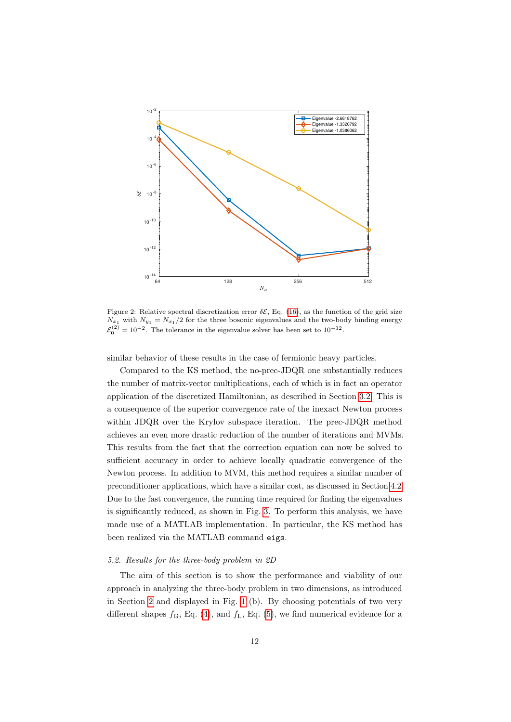<span id="page-11-1"></span>

Figure 2: Relative spectral discretization error  $\delta \mathcal{E}$ , Eq. [\(16\)](#page-10-1), as the function of the grid size  $N_{x_1}$  with  $N_{y_1} = N_{x_1}/2$  for the three bosonic eigenvalues and the two-body binding energy  $\mathcal{E}_0^{(2)} = 10^{-2}$ . The tolerance in the eigenvalue solver has been set to  $10^{-12}$ .

similar behavior of these results in the case of fermionic heavy particles.

Compared to the KS method, the no-prec-JDQR one substantially reduces the number of matrix-vector multiplications, each of which is in fact an operator application of the discretized Hamiltonian, as described in Section [3.2.](#page-5-3) This is a consequence of the superior convergence rate of the inexact Newton process within JDQR over the Krylov subspace iteration. The prec-JDQR method achieves an even more drastic reduction of the number of iterations and MVMs. This results from the fact that the correction equation can now be solved to sufficient accuracy in order to achieve locally quadratic convergence of the Newton process. In addition to MVM, this method requires a similar number of preconditioner applications, which have a similar cost, as discussed in Section [4.2.](#page-8-2) Due to the fast convergence, the running time required for finding the eigenvalues is significantly reduced, as shown in Fig. [3.](#page-13-0) To perform this analysis, we have made use of a MATLAB implementation. In particular, the KS method has been realized via the MATLAB command eigs.

#### <span id="page-11-0"></span>5.2. Results for the three-body problem in 2D

The aim of this section is to show the performance and viability of our approach in analyzing the three-body problem in two dimensions, as introduced in Section [2](#page-2-0) and displayed in Fig. [1](#page-3-0) (b). By choosing potentials of two very different shapes  $f_{\rm G}$ , Eq. [\(4\)](#page-3-2), and  $f_{\rm L}$ , Eq. [\(5\)](#page-4-2), we find numerical evidence for a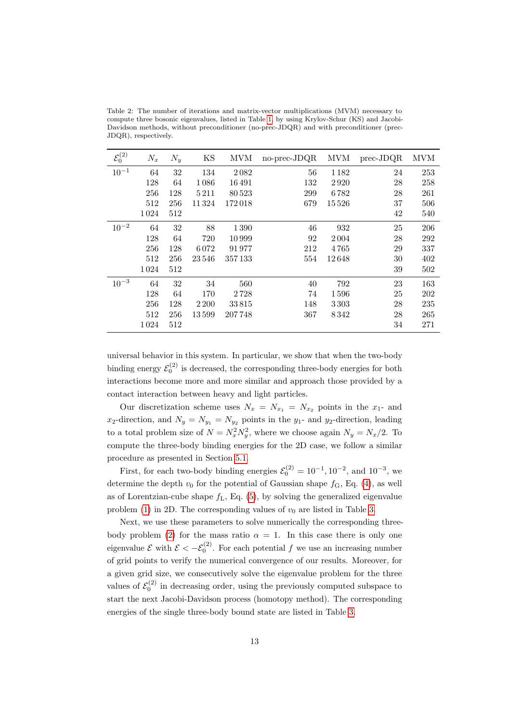<span id="page-12-0"></span>Table 2: The number of iterations and matrix-vector multiplications (MVM) necessary to compute three bosonic eigenvalues, listed in Table [1,](#page-10-0) by using Krylov-Schur (KS) and Jacobi-Davidson methods, without preconditioner (no-prec-JDQR) and with preconditioner (prec-JDQR), respectively.

| $\mathcal{E}_0^{(2)}$ | $N_x$ | $N_y$ | KS      | <b>MVM</b> | no-prec-JDQR | MVM   | $prec-JDQR$ | <b>MVM</b> |
|-----------------------|-------|-------|---------|------------|--------------|-------|-------------|------------|
| $10^{-1}$             | 64    | 32    | 134     | 2082       | 56           | 1182  | 24          | 253        |
|                       | 128   | 64    | 1086    | 16491      | 132          | 2920  | 28          | 258        |
|                       | 256   | 128   | 5 2 1 1 | 80523      | 299          | 6782  | 28          | 261        |
|                       | 512   | 256   | 11324   | 172018     | 679          | 15526 | 37          | 506        |
|                       | 1024  | 512   |         |            |              |       | 42          | 540        |
| $10^{-2}$             | 64    | 32    | 88      | 1390       | 46           | 932   | 25          | 206        |
|                       | 128   | 64    | 720     | 10999      | 92           | 2004  | 28          | 292        |
|                       | 256   | 128   | 6072    | 91977      | 212          | 4765  | 29          | 337        |
|                       | 512   | 256   | 23546   | 357133     | 554          | 12648 | 30          | 402        |
|                       | 1024  | 512   |         |            |              |       | 39          | 502        |
| $10^{-3}$             | 64    | 32    | 34      | 560        | 40           | 792   | 23          | 163        |
|                       | 128   | 64    | 170     | 2728       | 74           | 1596  | 25          | 202        |
|                       | 256   | 128   | 2 2 0 0 | 33815      | 148          | 3303  | 28          | 235        |
|                       | 512   | 256   | 13599   | 207748     | 367          | 8342  | 28          | 265        |
|                       | 1024  | 512   |         |            |              |       | 34          | 271        |

universal behavior in this system. In particular, we show that when the two-body binding energy  $\mathcal{E}_0^{(2)}$  is decreased, the corresponding three-body energies for both interactions become more and more similar and approach those provided by a contact interaction between heavy and light particles.

Our discretization scheme uses  $N_x = N_{x_1} = N_{x_2}$  points in the  $x_1$ - and  $x_2$ -direction, and  $N_y = N_{y_1} = N_{y_2}$  points in the  $y_1$ - and  $y_2$ -direction, leading to a total problem size of  $N = N_x^2 N_y^2$ , where we choose again  $N_y = N_x/2$ . To compute the three-body binding energies for the 2D case, we follow a similar procedure as presented in Section [5.1.](#page-9-1)

First, for each two-body binding energies  $\mathcal{E}_0^{(2)} = 10^{-1}$ ,  $10^{-2}$ , and  $10^{-3}$ , we determine the depth  $v_0$  for the potential of Gaussian shape  $f<sub>G</sub>$ , Eq. [\(4\)](#page-3-2), as well as of Lorentzian-cube shape  $f_L$ , Eq.  $(5)$ , by solving the generalized eigenvalue problem [\(1\)](#page-2-2) in 2D. The corresponding values of  $v_0$  are listed in Table [3.](#page-13-1)

Next, we use these parameters to solve numerically the corresponding three-body problem [\(2\)](#page-2-1) for the mass ratio  $\alpha = 1$ . In this case there is only one eigenvalue  $\mathcal E$  with  $\mathcal E < -\mathcal E_0^{(2)}$ . For each potential f we use an increasing number of grid points to verify the numerical convergence of our results. Moreover, for a given grid size, we consecutively solve the eigenvalue problem for the three values of  $\mathcal{E}_0^{(2)}$  in decreasing order, using the previously computed subspace to start the next Jacobi-Davidson process (homotopy method). The corresponding energies of the single three-body bound state are listed in Table [3.](#page-13-1)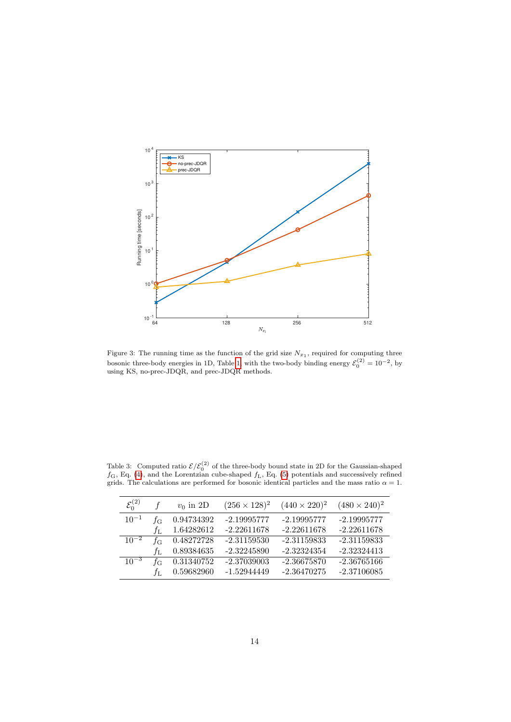<span id="page-13-0"></span>

Figure 3: The running time as the function of the grid size  $N_{x_1}$ , required for computing three bosonic three-body energies in 1D, Table [1,](#page-10-0) with the two-body binding energy  $\mathcal{E}_0^{(2)} = 10^{-2}$ , by using KS, no-prec-JDQR, and prec-JDQR methods.

| $\mathcal{E}_0^{(2)}$ |                  | $v_0$ in 2D | $(256 \times 128)^2$ | $(440 \times 220)^2$ | $(480 \times 240)^2$ |
|-----------------------|------------------|-------------|----------------------|----------------------|----------------------|
| $10^{-1}$             | fс               | 0.94734392  | $-2.19995777$        | -2.19995777          | $-2.19995777$        |
|                       | fг               | 1.64282612  | $-2.22611678$        | $-2.22611678$        | $-2.22611678$        |
| $10^{-2}$             | fс               | 0.48272728  | $-2.31159530$        | $-2.31159833$        | $-2.31159833$        |
|                       | fг.              | 0.89384635  | $-2.32245890$        | $-2.32324354$        | $-2.32324413$        |
| $10^{-3}$             | $f_{\mathrm{G}}$ | 0.31340752  | $-2.37039003$        | $-2.36675870$        | $-2.36765166$        |
|                       | $f_{\rm L}$      | 0.59682960  | -1.52944449          | $-2.36470275$        | $-2.37106085$        |

<span id="page-13-1"></span>Table 3: Computed ratio  $\mathcal{E}/\mathcal{E}_0^{(2)}$  of the three-body bound state in 2D for the Gaussian-shaped  $f_{\rm G}$ , Eq. [\(4\)](#page-3-2), and the Lorentzian cube-shaped  $f_{\rm L}$ , Eq. [\(5\)](#page-4-2) potentials and successively refined grids. The calculations are performed for bosonic identical particles and the mass ratio  $\alpha = 1$ .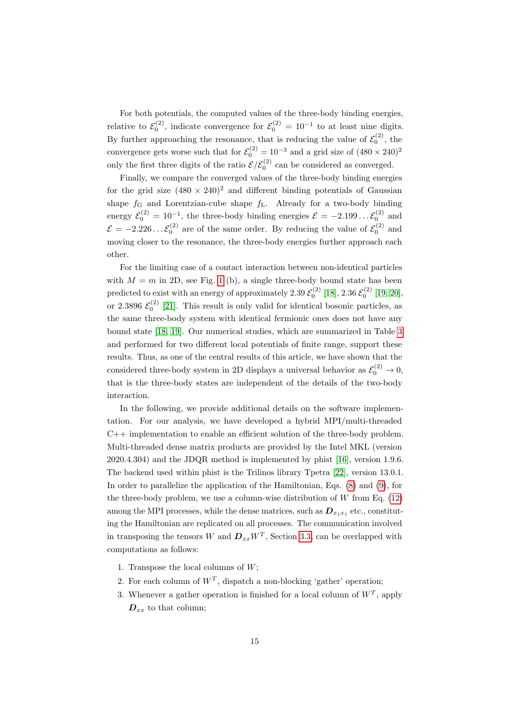For both potentials, the computed values of the three-body binding energies, relative to  $\mathcal{E}_0^{(2)}$ , indicate convergence for  $\mathcal{E}_0^{(2)} = 10^{-1}$  to at least nine digits. By further approaching the resonance, that is reducing the value of  $\mathcal{E}_0^{(2)}$ , the convergence gets worse such that for  $\mathcal{E}_0^{(2)} = 10^{-3}$  and a grid size of  $(480 \times 240)^2$ only the first three digits of the ratio  $\mathcal{E}/\mathcal{E}_0^{(2)}$  can be considered as converged.

Finally, we compare the converged values of the three-body binding energies for the grid size  $(480 \times 240)^2$  and different binding potentials of Gaussian shape  $f_{\rm G}$  and Lorentzian-cube shape  $f_{\rm L}$ . Already for a two-body binding energy  $\mathcal{E}_0^{(2)} = 10^{-1}$ , the three-body binding energies  $\mathcal{E} = -2.199 \dots \mathcal{E}_0^{(2)}$  and  $\mathcal{E} = -2.226 \dots \mathcal{E}_0^{(2)}$  are of the same order. By reducing the value of  $\mathcal{E}_0^{(2)}$  and moving closer to the resonance, the three-body energies further approach each other.

For the limiting case of a contact interaction between non-identical particles with  $M = m$  in 2D, see Fig. [1](#page-3-0) (b), a single three-body bound state has been predicted to exist with an energy of approximately  $2.39 \, \mathcal{E}_0^{(2)}$  [\[18\]](#page-17-11),  $2.36 \, \mathcal{E}_0^{(2)}$  [\[19,](#page-17-12) [20\]](#page-18-0), or 2.3896  $\mathcal{E}_0^{(2)}$  [\[21\]](#page-18-1). This result is only valid for identical bosonic particles, as the same three-body system with identical fermionic ones does not have any bound state [\[18,](#page-17-11) [19\]](#page-17-12). Our numerical studies, which are summarized in Table [3](#page-13-1) and performed for two different local potentials of finite range, support these results. Thus, as one of the central results of this article, we have shown that the considered three-body system in 2D displays a universal behavior as  $\mathcal{E}_0^{(2)} \to 0$ , that is the three-body states are independent of the details of the two-body interaction.

In the following, we provide additional details on the software implementation. For our analysis, we have developed a hybrid MPI/multi-threaded  $C++$  implementation to enable an efficient solution of the three-body problem. Multi-threaded dense matrix products are provided by the Intel MKL (version 2020.4.304) and the JDQR method is implemented by phist [\[16\]](#page-17-9), version 1.9.6. The backend used within phist is the Trilinos library Tpetra [\[22\]](#page-18-2), version 13.0.1. In order to parallelize the application of the Hamiltonian, Eqs. [\(8\)](#page-5-0) and [\(9\)](#page-5-2), for the three-body problem, we use a column-wise distribution of  $W$  from Eq.  $(12)$ among the MPI processes, while the dense matrices, such as  $\mathbf{D}_{x_1x_1}$  etc., constituting the Hamiltonian are replicated on all processes. The communication involved in transposing the tensors W and  $D_{xx}W^{T}$ , Section [3.3,](#page-6-2) can be overlapped with computations as follows:

- 1. Transpose the local columns of  $W$ ;
- 2. For each column of  $W^T$ , dispatch a non-blocking 'gather' operation;
- 3. Whenever a gather operation is finished for a local column of  $W<sup>T</sup>$ , apply  $D_{xx}$  to that column;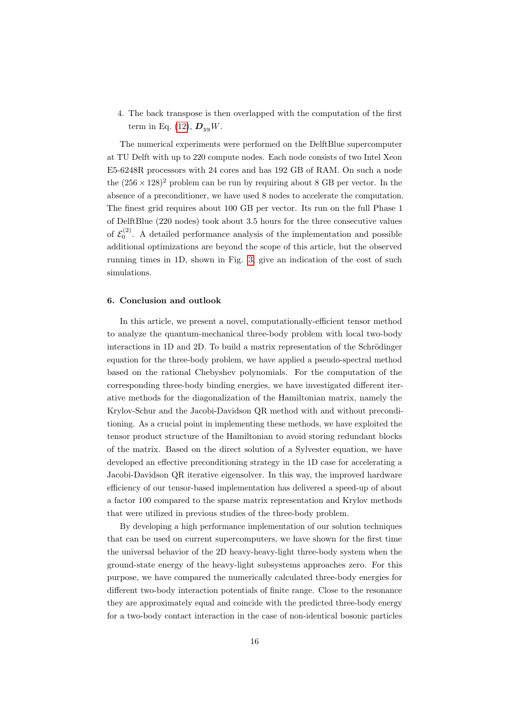4. The back transpose is then overlapped with the computation of the first term in Eq. [\(12\)](#page-6-1),  $\mathbf{D}_{yy}W$ .

The numerical experiments were performed on the DelftBlue supercomputer at TU Delft with up to 220 compute nodes. Each node consists of two Intel Xeon E5-6248R processors with 24 cores and has 192 GB of RAM. On such a node the  $(256 \times 128)^2$  problem can be run by requiring about 8 GB per vector. In the absence of a preconditioner, we have used 8 nodes to accelerate the computation. The finest grid requires about 100 GB per vector. Its run on the full Phase 1 of DelftBlue (220 nodes) took about 3.5 hours for the three consecutive values of  $\mathcal{E}_0^{(2)}$ . A detailed performance analysis of the implementation and possible additional optimizations are beyond the scope of this article, but the observed running times in 1D, shown in Fig. [3,](#page-13-0) give an indication of the cost of such simulations.

# <span id="page-15-0"></span>6. Conclusion and outlook

In this article, we present a novel, computationally-efficient tensor method to analyze the quantum-mechanical three-body problem with local two-body interactions in 1D and 2D. To build a matrix representation of the Schrödinger equation for the three-body problem, we have applied a pseudo-spectral method based on the rational Chebyshev polynomials. For the computation of the corresponding three-body binding energies, we have investigated different iterative methods for the diagonalization of the Hamiltonian matrix, namely the Krylov-Schur and the Jacobi-Davidson QR method with and without preconditioning. As a crucial point in implementing these methods, we have exploited the tensor product structure of the Hamiltonian to avoid storing redundant blocks of the matrix. Based on the direct solution of a Sylvester equation, we have developed an effective preconditioning strategy in the 1D case for accelerating a Jacobi-Davidson QR iterative eigensolver. In this way, the improved hardware efficiency of our tensor-based implementation has delivered a speed-up of about a factor 100 compared to the sparse matrix representation and Krylov methods that were utilized in previous studies of the three-body problem.

By developing a high performance implementation of our solution techniques that can be used on current supercomputers, we have shown for the first time the universal behavior of the 2D heavy-heavy-light three-body system when the ground-state energy of the heavy-light subsystems approaches zero. For this purpose, we have compared the numerically calculated three-body energies for different two-body interaction potentials of finite range. Close to the resonance they are approximately equal and coincide with the predicted three-body energy for a two-body contact interaction in the case of non-identical bosonic particles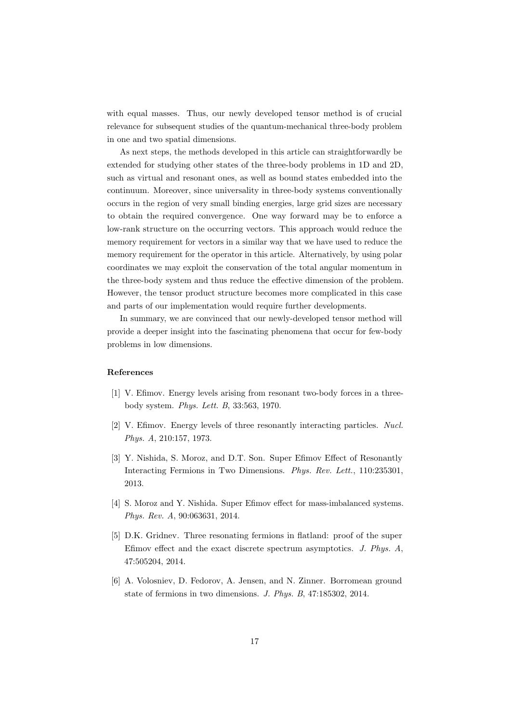with equal masses. Thus, our newly developed tensor method is of crucial relevance for subsequent studies of the quantum-mechanical three-body problem in one and two spatial dimensions.

As next steps, the methods developed in this article can straightforwardly be extended for studying other states of the three-body problems in 1D and 2D, such as virtual and resonant ones, as well as bound states embedded into the continuum. Moreover, since universality in three-body systems conventionally occurs in the region of very small binding energies, large grid sizes are necessary to obtain the required convergence. One way forward may be to enforce a low-rank structure on the occurring vectors. This approach would reduce the memory requirement for vectors in a similar way that we have used to reduce the memory requirement for the operator in this article. Alternatively, by using polar coordinates we may exploit the conservation of the total angular momentum in the three-body system and thus reduce the effective dimension of the problem. However, the tensor product structure becomes more complicated in this case and parts of our implementation would require further developments.

In summary, we are convinced that our newly-developed tensor method will provide a deeper insight into the fascinating phenomena that occur for few-body problems in low dimensions.

#### References

- <span id="page-16-0"></span>[1] V. Efimov. Energy levels arising from resonant two-body forces in a threebody system. Phys. Lett. B, 33:563, 1970.
- <span id="page-16-1"></span>[2] V. Efimov. Energy levels of three resonantly interacting particles. Nucl. Phys. A, 210:157, 1973.
- <span id="page-16-2"></span>[3] Y. Nishida, S. Moroz, and D.T. Son. Super Efimov Effect of Resonantly Interacting Fermions in Two Dimensions. Phys. Rev. Lett., 110:235301, 2013.
- <span id="page-16-3"></span>[4] S. Moroz and Y. Nishida. Super Efimov effect for mass-imbalanced systems. Phys. Rev. A, 90:063631, 2014.
- <span id="page-16-4"></span>[5] D.K. Gridnev. Three resonating fermions in flatland: proof of the super Efimov effect and the exact discrete spectrum asymptotics. J. Phys. A, 47:505204, 2014.
- <span id="page-16-5"></span>[6] A. Volosniev, D. Fedorov, A. Jensen, and N. Zinner. Borromean ground state of fermions in two dimensions. J. Phys. B, 47:185302, 2014.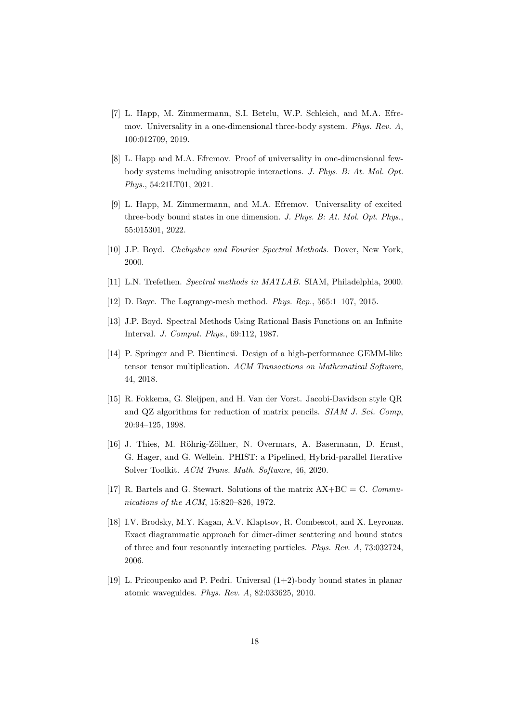- <span id="page-17-0"></span>[7] L. Happ, M. Zimmermann, S.I. Betelu, W.P. Schleich, and M.A. Efremov. Universality in a one-dimensional three-body system. Phys. Rev. A, 100:012709, 2019.
- <span id="page-17-1"></span>[8] L. Happ and M.A. Efremov. Proof of universality in one-dimensional fewbody systems including anisotropic interactions. J. Phys. B: At. Mol. Opt. Phys., 54:21LT01, 2021.
- <span id="page-17-2"></span>[9] L. Happ, M. Zimmermann, and M.A. Efremov. Universality of excited three-body bound states in one dimension. J. Phys. B: At. Mol. Opt. Phys., 55:015301, 2022.
- <span id="page-17-3"></span>[10] J.P. Boyd. Chebyshev and Fourier Spectral Methods. Dover, New York, 2000.
- <span id="page-17-4"></span>[11] L.N. Trefethen. Spectral methods in MATLAB. SIAM, Philadelphia, 2000.
- <span id="page-17-5"></span>[12] D. Baye. The Lagrange-mesh method. *Phys. Rep.*, 565:1-107, 2015.
- <span id="page-17-6"></span>[13] J.P. Boyd. Spectral Methods Using Rational Basis Functions on an Infinite Interval. J. Comput. Phys., 69:112, 1987.
- <span id="page-17-7"></span>[14] P. Springer and P. Bientinesi. Design of a high-performance GEMM-like tensor–tensor multiplication. ACM Transactions on Mathematical Software, 44, 2018.
- <span id="page-17-8"></span>[15] R. Fokkema, G. Sleijpen, and H. Van der Vorst. Jacobi-Davidson style QR and QZ algorithms for reduction of matrix pencils. SIAM J. Sci. Comp, 20:94–125, 1998.
- <span id="page-17-9"></span>[16] J. Thies, M. Röhrig-Zöllner, N. Overmars, A. Basermann, D. Ernst, G. Hager, and G. Wellein. PHIST: a Pipelined, Hybrid-parallel Iterative Solver Toolkit. ACM Trans. Math. Software, 46, 2020.
- <span id="page-17-10"></span>[17] R. Bartels and G. Stewart. Solutions of the matrix  $AX+BC = C$ . Communications of the ACM, 15:820–826, 1972.
- <span id="page-17-11"></span>[18] I.V. Brodsky, M.Y. Kagan, A.V. Klaptsov, R. Combescot, and X. Leyronas. Exact diagrammatic approach for dimer-dimer scattering and bound states of three and four resonantly interacting particles. Phys. Rev. A, 73:032724, 2006.
- <span id="page-17-12"></span>[19] L. Pricoupenko and P. Pedri. Universal (1+2)-body bound states in planar atomic waveguides. Phys. Rev. A, 82:033625, 2010.